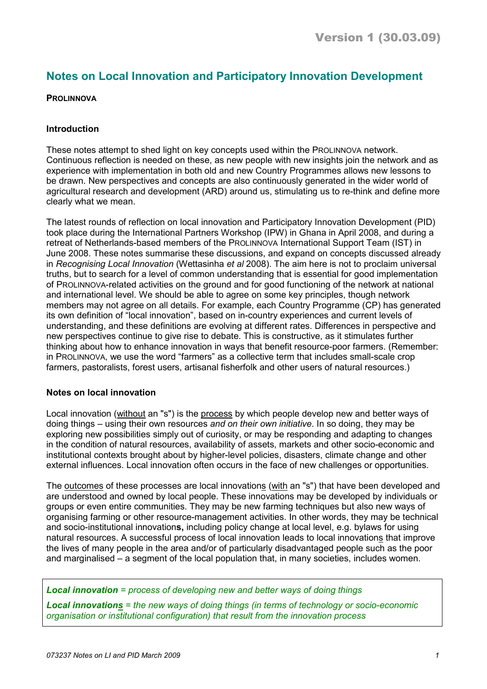# Notes on Local Innovation and Participatory Innovation Development

# **PROLINNOVA**

# Introduction

These notes attempt to shed light on key concepts used within the PROLINNOVA network. Continuous reflection is needed on these, as new people with new insights join the network and as experience with implementation in both old and new Country Programmes allows new lessons to be drawn. New perspectives and concepts are also continuously generated in the wider world of agricultural research and development (ARD) around us, stimulating us to re-think and define more clearly what we mean.

The latest rounds of reflection on local innovation and Participatory Innovation Development (PID) took place during the International Partners Workshop (IPW) in Ghana in April 2008, and during a retreat of Netherlands-based members of the PROLINNOVA International Support Team (IST) in June 2008. These notes summarise these discussions, and expand on concepts discussed already in Recognising Local Innovation (Wettasinha et al 2008). The aim here is not to proclaim universal truths, but to search for a level of common understanding that is essential for good implementation of PROLINNOVA-related activities on the ground and for good functioning of the network at national and international level. We should be able to agree on some key principles, though network members may not agree on all details. For example, each Country Programme (CP) has generated its own definition of "local innovation", based on in-country experiences and current levels of understanding, and these definitions are evolving at different rates. Differences in perspective and new perspectives continue to give rise to debate. This is constructive, as it stimulates further thinking about how to enhance innovation in ways that benefit resource-poor farmers. (Remember: in PROLINNOVA, we use the word "farmers" as a collective term that includes small-scale crop farmers, pastoralists, forest users, artisanal fisherfolk and other users of natural resources.)

# Notes on local innovation

Local innovation (without an "s") is the process by which people develop new and better ways of doing things – using their own resources and on their own initiative. In so doing, they may be exploring new possibilities simply out of curiosity, or may be responding and adapting to changes in the condition of natural resources, availability of assets, markets and other socio-economic and institutional contexts brought about by higher-level policies, disasters, climate change and other external influences. Local innovation often occurs in the face of new challenges or opportunities.

The outcomes of these processes are local innovations (with an "s") that have been developed and are understood and owned by local people. These innovations may be developed by individuals or groups or even entire communities. They may be new farming techniques but also new ways of organising farming or other resource-management activities. In other words, they may be technical and socio-institutional innovations, including policy change at local level, e.g. bylaws for using natural resources. A successful process of local innovation leads to local innovations that improve the lives of many people in the area and/or of particularly disadvantaged people such as the poor and marginalised – a segment of the local population that, in many societies, includes women.

Local innovation = process of developing new and better ways of doing things

Local innovations = the new ways of doing things (in terms of technology or socio-economic organisation or institutional configuration) that result from the innovation process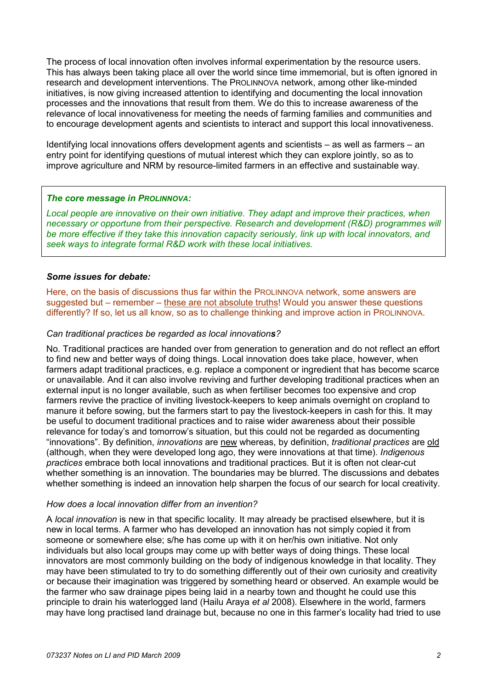The process of local innovation often involves informal experimentation by the resource users. This has always been taking place all over the world since time immemorial, but is often ignored in research and development interventions. The PROLINNOVA network, among other like-minded initiatives, is now giving increased attention to identifying and documenting the local innovation processes and the innovations that result from them. We do this to increase awareness of the relevance of local innovativeness for meeting the needs of farming families and communities and to encourage development agents and scientists to interact and support this local innovativeness.

Identifying local innovations offers development agents and scientists – as well as farmers – an entry point for identifying questions of mutual interest which they can explore jointly, so as to improve agriculture and NRM by resource-limited farmers in an effective and sustainable way.

# The core message in PROLINNOVA:

Local people are innovative on their own initiative. They adapt and improve their practices, when necessary or opportune from their perspective. Research and development (R&D) programmes will be more effective if they take this innovation capacity seriously, link up with local innovators, and seek ways to integrate formal R&D work with these local initiatives.

## Some issues for debate:

Here, on the basis of discussions thus far within the PROLINNOVA network, some answers are suggested but – remember – these are not absolute truths! Would you answer these questions differently? If so, let us all know, so as to challenge thinking and improve action in PROLINNOVA.

## Can traditional practices be regarded as local innovations?

No. Traditional practices are handed over from generation to generation and do not reflect an effort to find new and better ways of doing things. Local innovation does take place, however, when farmers adapt traditional practices, e.g. replace a component or ingredient that has become scarce or unavailable. And it can also involve reviving and further developing traditional practices when an external input is no longer available, such as when fertiliser becomes too expensive and crop farmers revive the practice of inviting livestock-keepers to keep animals overnight on cropland to manure it before sowing, but the farmers start to pay the livestock-keepers in cash for this. It may be useful to document traditional practices and to raise wider awareness about their possible relevance for today's and tomorrow's situation, but this could not be regarded as documenting "innovations". By definition, innovations are new whereas, by definition, traditional practices are old (although, when they were developed long ago, they were innovations at that time). Indigenous practices embrace both local innovations and traditional practices. But it is often not clear-cut whether something is an innovation. The boundaries may be blurred. The discussions and debates whether something is indeed an innovation help sharpen the focus of our search for local creativity.

# How does a local innovation differ from an invention?

A local innovation is new in that specific locality. It may already be practised elsewhere, but it is new in local terms. A farmer who has developed an innovation has not simply copied it from someone or somewhere else; s/he has come up with it on her/his own initiative. Not only individuals but also local groups may come up with better ways of doing things. These local innovators are most commonly building on the body of indigenous knowledge in that locality. They may have been stimulated to try to do something differently out of their own curiosity and creativity or because their imagination was triggered by something heard or observed. An example would be the farmer who saw drainage pipes being laid in a nearby town and thought he could use this principle to drain his waterlogged land (Hailu Araya et al 2008). Elsewhere in the world, farmers may have long practised land drainage but, because no one in this farmer's locality had tried to use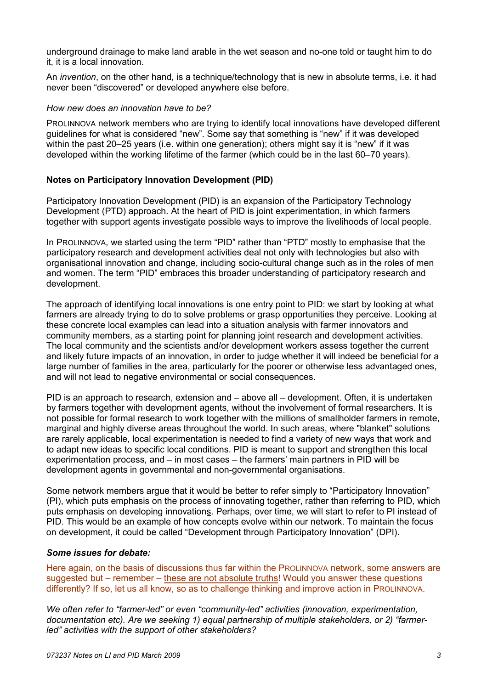underground drainage to make land arable in the wet season and no-one told or taught him to do it, it is a local innovation.

An invention, on the other hand, is a technique/technology that is new in absolute terms, i.e. it had never been "discovered" or developed anywhere else before.

## How new does an innovation have to be?

PROLINNOVA network members who are trying to identify local innovations have developed different guidelines for what is considered "new". Some say that something is "new" if it was developed within the past 20–25 years (i.e. within one generation); others might say it is "new" if it was developed within the working lifetime of the farmer (which could be in the last 60–70 years).

## Notes on Participatory Innovation Development (PID)

Participatory Innovation Development (PID) is an expansion of the Participatory Technology Development (PTD) approach. At the heart of PID is joint experimentation, in which farmers together with support agents investigate possible ways to improve the livelihoods of local people.

In PROLINNOVA, we started using the term "PID" rather than "PTD" mostly to emphasise that the participatory research and development activities deal not only with technologies but also with organisational innovation and change, including socio-cultural change such as in the roles of men and women. The term "PID" embraces this broader understanding of participatory research and development.

The approach of identifying local innovations is one entry point to PID: we start by looking at what farmers are already trying to do to solve problems or grasp opportunities they perceive. Looking at these concrete local examples can lead into a situation analysis with farmer innovators and community members, as a starting point for planning joint research and development activities. The local community and the scientists and/or development workers assess together the current and likely future impacts of an innovation, in order to judge whether it will indeed be beneficial for a large number of families in the area, particularly for the poorer or otherwise less advantaged ones, and will not lead to negative environmental or social consequences.

PID is an approach to research, extension and – above all – development. Often, it is undertaken by farmers together with development agents, without the involvement of formal researchers. It is not possible for formal research to work together with the millions of smallholder farmers in remote, marginal and highly diverse areas throughout the world. In such areas, where "blanket" solutions are rarely applicable, local experimentation is needed to find a variety of new ways that work and to adapt new ideas to specific local conditions. PID is meant to support and strengthen this local experimentation process, and – in most cases – the farmers' main partners in PID will be development agents in governmental and non-governmental organisations.

Some network members argue that it would be better to refer simply to "Participatory Innovation" (PI), which puts emphasis on the process of innovating together, rather than referring to PID, which puts emphasis on developing innovations. Perhaps, over time, we will start to refer to PI instead of PID. This would be an example of how concepts evolve within our network. To maintain the focus on development, it could be called "Development through Participatory Innovation" (DPI).

#### Some issues for debate:

Here again, on the basis of discussions thus far within the PROLINNOVA network, some answers are suggested but – remember – these are not absolute truths! Would you answer these questions differently? If so, let us all know, so as to challenge thinking and improve action in PROLINNOVA.

We often refer to "farmer-led" or even "community-led" activities (innovation, experimentation, documentation etc). Are we seeking 1) equal partnership of multiple stakeholders, or 2) "farmerled" activities with the support of other stakeholders?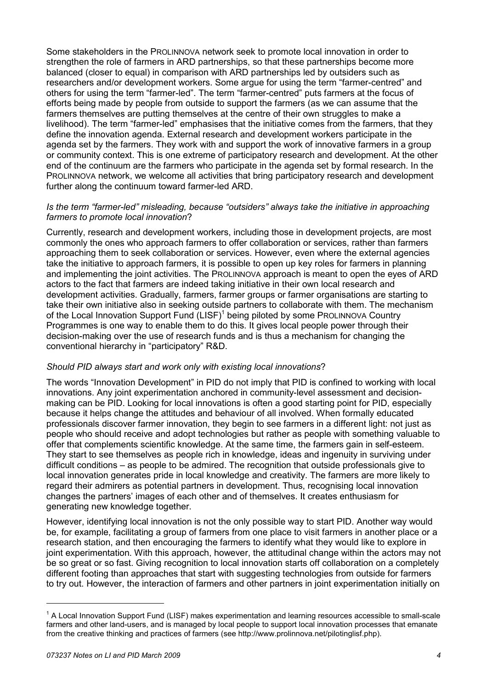Some stakeholders in the PROLINNOVA network seek to promote local innovation in order to strengthen the role of farmers in ARD partnerships, so that these partnerships become more balanced (closer to equal) in comparison with ARD partnerships led by outsiders such as researchers and/or development workers. Some argue for using the term "farmer-centred" and others for using the term "farmer-led". The term "farmer-centred" puts farmers at the focus of efforts being made by people from outside to support the farmers (as we can assume that the farmers themselves are putting themselves at the centre of their own struggles to make a livelihood). The term "farmer-led" emphasises that the initiative comes from the farmers, that they define the innovation agenda. External research and development workers participate in the agenda set by the farmers. They work with and support the work of innovative farmers in a group or community context. This is one extreme of participatory research and development. At the other end of the continuum are the farmers who participate in the agenda set by formal research. In the PROLINNOVA network, we welcome all activities that bring participatory research and development further along the continuum toward farmer-led ARD.

# Is the term "farmer-led" misleading, because "outsiders" always take the initiative in approaching farmers to promote local innovation?

Currently, research and development workers, including those in development projects, are most commonly the ones who approach farmers to offer collaboration or services, rather than farmers approaching them to seek collaboration or services. However, even where the external agencies take the initiative to approach farmers, it is possible to open up key roles for farmers in planning and implementing the joint activities. The PROLINNOVA approach is meant to open the eyes of ARD actors to the fact that farmers are indeed taking initiative in their own local research and development activities. Gradually, farmers, farmer groups or farmer organisations are starting to take their own initiative also in seeking outside partners to collaborate with them. The mechanism of the Local Innovation Support Fund  $(LISF)^1$  being piloted by some PROLINNOVA Country Programmes is one way to enable them to do this. It gives local people power through their decision-making over the use of research funds and is thus a mechanism for changing the conventional hierarchy in "participatory" R&D.

# Should PID always start and work only with existing local innovations?

The words "Innovation Development" in PID do not imply that PID is confined to working with local innovations. Any joint experimentation anchored in community-level assessment and decisionmaking can be PID. Looking for local innovations is often a good starting point for PID, especially because it helps change the attitudes and behaviour of all involved. When formally educated professionals discover farmer innovation, they begin to see farmers in a different light: not just as people who should receive and adopt technologies but rather as people with something valuable to offer that complements scientific knowledge. At the same time, the farmers gain in self-esteem. They start to see themselves as people rich in knowledge, ideas and ingenuity in surviving under difficult conditions – as people to be admired. The recognition that outside professionals give to local innovation generates pride in local knowledge and creativity. The farmers are more likely to regard their admirers as potential partners in development. Thus, recognising local innovation changes the partners' images of each other and of themselves. It creates enthusiasm for generating new knowledge together.

However, identifying local innovation is not the only possible way to start PID. Another way would be, for example, facilitating a group of farmers from one place to visit farmers in another place or a research station, and then encouraging the farmers to identify what they would like to explore in joint experimentation. With this approach, however, the attitudinal change within the actors may not be so great or so fast. Giving recognition to local innovation starts off collaboration on a completely different footing than approaches that start with suggesting technologies from outside for farmers to try out. However, the interaction of farmers and other partners in joint experimentation initially on

 $\overline{a}$ 

<sup>&</sup>lt;sup>1</sup> A Local Innovation Support Fund (LISF) makes experimentation and learning resources accessible to small-scale farmers and other land-users, and is managed by local people to support local innovation processes that emanate from the creative thinking and practices of farmers (see http://www.prolinnova.net/pilotinglisf.php).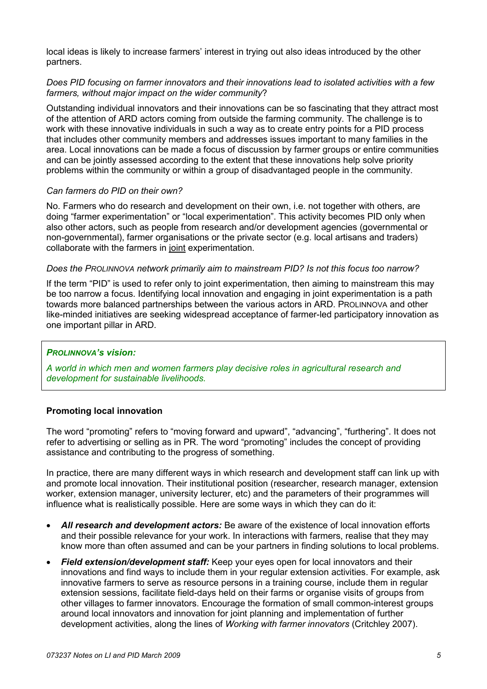local ideas is likely to increase farmers' interest in trying out also ideas introduced by the other partners.

# Does PID focusing on farmer innovators and their innovations lead to isolated activities with a few farmers, without major impact on the wider community?

Outstanding individual innovators and their innovations can be so fascinating that they attract most of the attention of ARD actors coming from outside the farming community. The challenge is to work with these innovative individuals in such a way as to create entry points for a PID process that includes other community members and addresses issues important to many families in the area. Local innovations can be made a focus of discussion by farmer groups or entire communities and can be jointly assessed according to the extent that these innovations help solve priority problems within the community or within a group of disadvantaged people in the community.

## Can farmers do PID on their own?

No. Farmers who do research and development on their own, i.e. not together with others, are doing "farmer experimentation" or "local experimentation". This activity becomes PID only when also other actors, such as people from research and/or development agencies (governmental or non-governmental), farmer organisations or the private sector (e.g. local artisans and traders) collaborate with the farmers in joint experimentation.

## Does the PROLINNOVA network primarily aim to mainstream PID? Is not this focus too narrow?

If the term "PID" is used to refer only to joint experimentation, then aiming to mainstream this may be too narrow a focus. Identifying local innovation and engaging in joint experimentation is a path towards more balanced partnerships between the various actors in ARD. PROLINNOVA and other like-minded initiatives are seeking widespread acceptance of farmer-led participatory innovation as one important pillar in ARD.

# PROLINNOVA's vision:

A world in which men and women farmers play decisive roles in agricultural research and development for sustainable livelihoods.

# Promoting local innovation

The word "promoting" refers to "moving forward and upward", "advancing", "furthering". It does not refer to advertising or selling as in PR. The word "promoting" includes the concept of providing assistance and contributing to the progress of something.

In practice, there are many different ways in which research and development staff can link up with and promote local innovation. Their institutional position (researcher, research manager, extension worker, extension manager, university lecturer, etc) and the parameters of their programmes will influence what is realistically possible. Here are some ways in which they can do it:

- All research and development actors: Be aware of the existence of local innovation efforts and their possible relevance for your work. In interactions with farmers, realise that they may know more than often assumed and can be your partners in finding solutions to local problems.
- **Field extension/development staff:** Keep your eyes open for local innovators and their innovations and find ways to include them in your regular extension activities. For example, ask innovative farmers to serve as resource persons in a training course, include them in regular extension sessions, facilitate field-days held on their farms or organise visits of groups from other villages to farmer innovators. Encourage the formation of small common-interest groups around local innovators and innovation for joint planning and implementation of further development activities, along the lines of Working with farmer innovators (Critchley 2007).